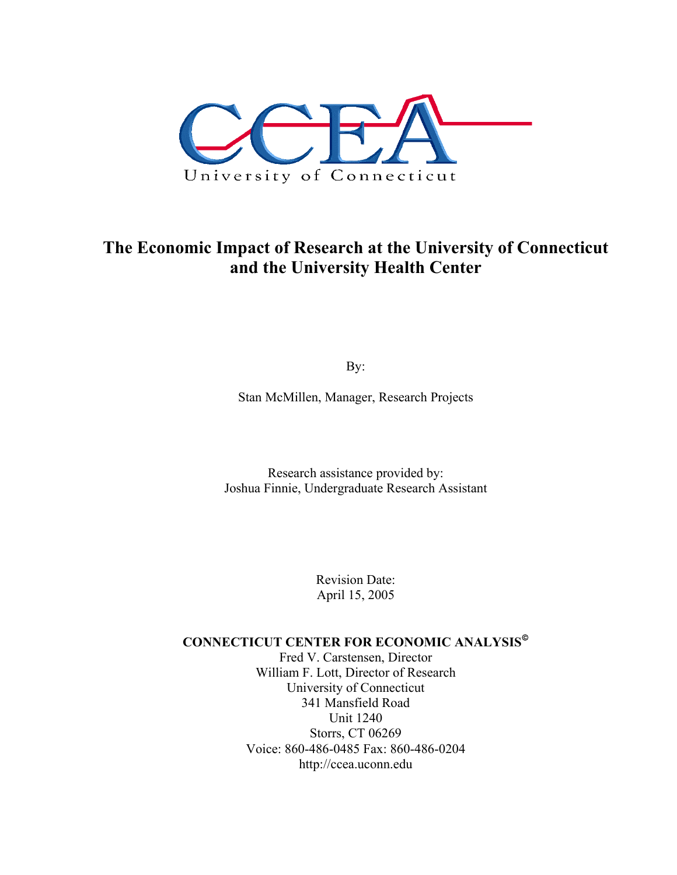

# **The Economic Impact of Research at the University of Connecticut and the University Health Center**

By:

Stan McMillen, Manager, Research Projects

Research assistance provided by: Joshua Finnie, Undergraduate Research Assistant

> Revision Date: April 15, 2005

# **CONNECTICUT CENTER FOR ECONOMIC ANALYSIS**

Fred V. Carstensen, Director William F. Lott, Director of Research University of Connecticut 341 Mansfield Road Unit 1240 Storrs, CT 06269 Voice: 860-486-0485 Fax: 860-486-0204 http://ccea.uconn.edu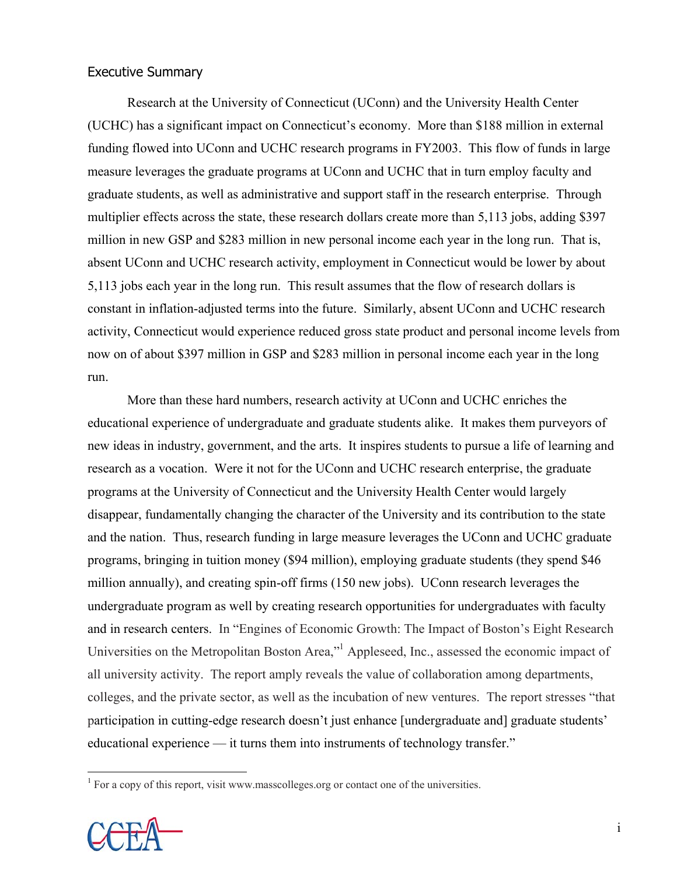# Executive Summary

 Research at the University of Connecticut (UConn) and the University Health Center (UCHC) has a significant impact on Connecticut's economy. More than \$188 million in external funding flowed into UConn and UCHC research programs in FY2003. This flow of funds in large measure leverages the graduate programs at UConn and UCHC that in turn employ faculty and graduate students, as well as administrative and support staff in the research enterprise. Through multiplier effects across the state, these research dollars create more than 5,113 jobs, adding \$397 million in new GSP and \$283 million in new personal income each year in the long run. That is, absent UConn and UCHC research activity, employment in Connecticut would be lower by about 5,113 jobs each year in the long run. This result assumes that the flow of research dollars is constant in inflation-adjusted terms into the future. Similarly, absent UConn and UCHC research activity, Connecticut would experience reduced gross state product and personal income levels from now on of about \$397 million in GSP and \$283 million in personal income each year in the long run.

 More than these hard numbers, research activity at UConn and UCHC enriches the educational experience of undergraduate and graduate students alike. It makes them purveyors of new ideas in industry, government, and the arts. It inspires students to pursue a life of learning and research as a vocation. Were it not for the UConn and UCHC research enterprise, the graduate programs at the University of Connecticut and the University Health Center would largely disappear, fundamentally changing the character of the University and its contribution to the state and the nation. Thus, research funding in large measure leverages the UConn and UCHC graduate programs, bringing in tuition money (\$94 million), employing graduate students (they spend \$46 million annually), and creating spin-off firms (150 new jobs). UConn research leverages the undergraduate program as well by creating research opportunities for undergraduates with faculty and in research centers. In "Engines of Economic Growth: The Impact of Boston's Eight Research Universities on the Metropolitan Boston Area," Appleseed, Inc., assessed the economic impact of all university activity. The report amply reveals the value of collaboration among departments, colleges, and the private sector, as well as the incubation of new ventures. The report stresses "that participation in cutting-edge research doesn't just enhance [undergraduate and] graduate students' educational experience — it turns them into instruments of technology transfer."

 $<sup>1</sup>$  For a copy of this report, visit www.masscolleges.org or contact one of the universities.</sup>

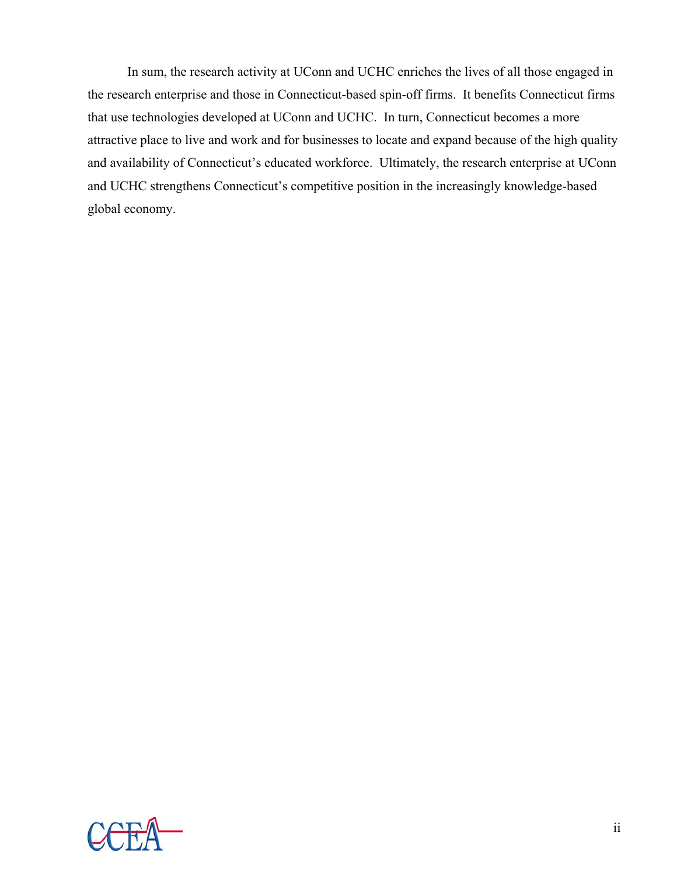In sum, the research activity at UConn and UCHC enriches the lives of all those engaged in the research enterprise and those in Connecticut-based spin-off firms. It benefits Connecticut firms that use technologies developed at UConn and UCHC. In turn, Connecticut becomes a more attractive place to live and work and for businesses to locate and expand because of the high quality and availability of Connecticut's educated workforce. Ultimately, the research enterprise at UConn and UCHC strengthens Connecticut's competitive position in the increasingly knowledge-based global economy.

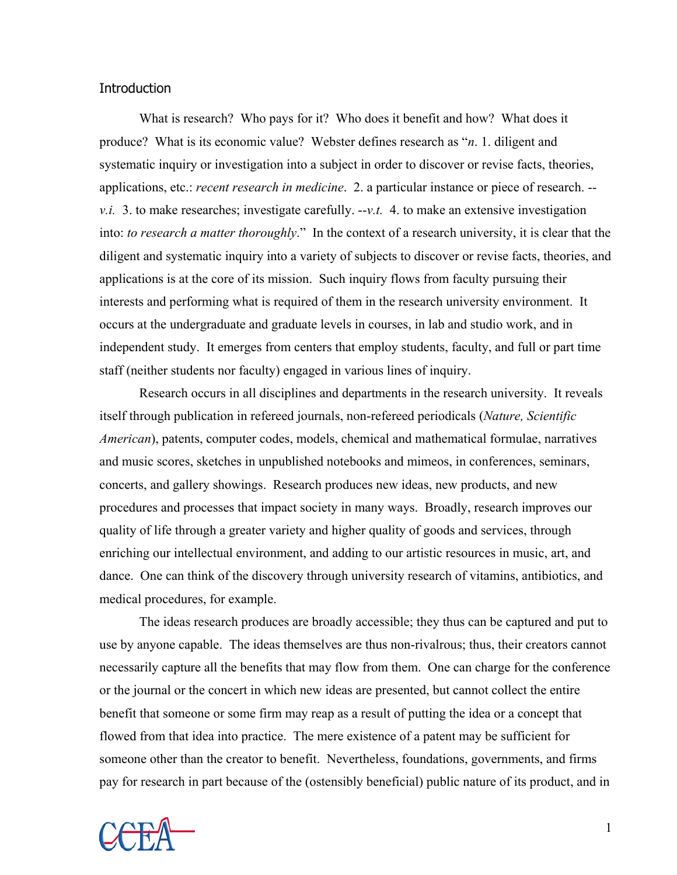### **Introduction**

 What is research? Who pays for it? Who does it benefit and how? What does it produce? What is its economic value? Webster defines research as "*n*. 1. diligent and systematic inquiry or investigation into a subject in order to discover or revise facts, theories, applications, etc.: *recent research in medicine*. 2. a particular instance or piece of research. - *v.i.* 3. to make researches; investigate carefully. --*v.t.* 4. to make an extensive investigation into: *to research a matter thoroughly*." In the context of a research university, it is clear that the diligent and systematic inquiry into a variety of subjects to discover or revise facts, theories, and applications is at the core of its mission. Such inquiry flows from faculty pursuing their interests and performing what is required of them in the research university environment. It occurs at the undergraduate and graduate levels in courses, in lab and studio work, and in independent study. It emerges from centers that employ students, faculty, and full or part time staff (neither students nor faculty) engaged in various lines of inquiry.

 Research occurs in all disciplines and departments in the research university. It reveals itself through publication in refereed journals, non-refereed periodicals (*Nature, Scientific American*), patents, computer codes, models, chemical and mathematical formulae, narratives and music scores, sketches in unpublished notebooks and mimeos, in conferences, seminars, concerts, and gallery showings. Research produces new ideas, new products, and new procedures and processes that impact society in many ways. Broadly, research improves our quality of life through a greater variety and higher quality of goods and services, through enriching our intellectual environment, and adding to our artistic resources in music, art, and dance. One can think of the discovery through university research of vitamins, antibiotics, and medical procedures, for example.

 The ideas research produces are broadly accessible; they thus can be captured and put to use by anyone capable. The ideas themselves are thus non-rivalrous; thus, their creators cannot necessarily capture all the benefits that may flow from them. One can charge for the conference or the journal or the concert in which new ideas are presented, but cannot collect the entire benefit that someone or some firm may reap as a result of putting the idea or a concept that flowed from that idea into practice. The mere existence of a patent may be sufficient for someone other than the creator to benefit. Nevertheless, foundations, governments, and firms pay for research in part because of the (ostensibly beneficial) public nature of its product, and in

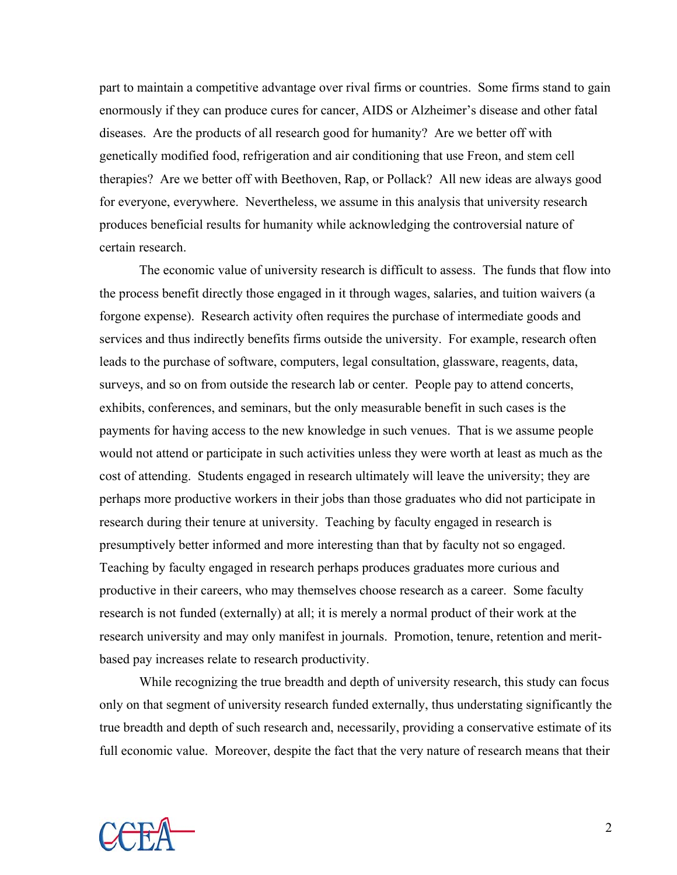part to maintain a competitive advantage over rival firms or countries. Some firms stand to gain enormously if they can produce cures for cancer, AIDS or Alzheimer's disease and other fatal diseases. Are the products of all research good for humanity? Are we better off with genetically modified food, refrigeration and air conditioning that use Freon, and stem cell therapies? Are we better off with Beethoven, Rap, or Pollack? All new ideas are always good for everyone, everywhere. Nevertheless, we assume in this analysis that university research produces beneficial results for humanity while acknowledging the controversial nature of certain research.

 The economic value of university research is difficult to assess. The funds that flow into the process benefit directly those engaged in it through wages, salaries, and tuition waivers (a forgone expense). Research activity often requires the purchase of intermediate goods and services and thus indirectly benefits firms outside the university. For example, research often leads to the purchase of software, computers, legal consultation, glassware, reagents, data, surveys, and so on from outside the research lab or center. People pay to attend concerts, exhibits, conferences, and seminars, but the only measurable benefit in such cases is the payments for having access to the new knowledge in such venues. That is we assume people would not attend or participate in such activities unless they were worth at least as much as the cost of attending. Students engaged in research ultimately will leave the university; they are perhaps more productive workers in their jobs than those graduates who did not participate in research during their tenure at university. Teaching by faculty engaged in research is presumptively better informed and more interesting than that by faculty not so engaged. Teaching by faculty engaged in research perhaps produces graduates more curious and productive in their careers, who may themselves choose research as a career. Some faculty research is not funded (externally) at all; it is merely a normal product of their work at the research university and may only manifest in journals. Promotion, tenure, retention and meritbased pay increases relate to research productivity.

While recognizing the true breadth and depth of university research, this study can focus only on that segment of university research funded externally, thus understating significantly the true breadth and depth of such research and, necessarily, providing a conservative estimate of its full economic value. Moreover, despite the fact that the very nature of research means that their

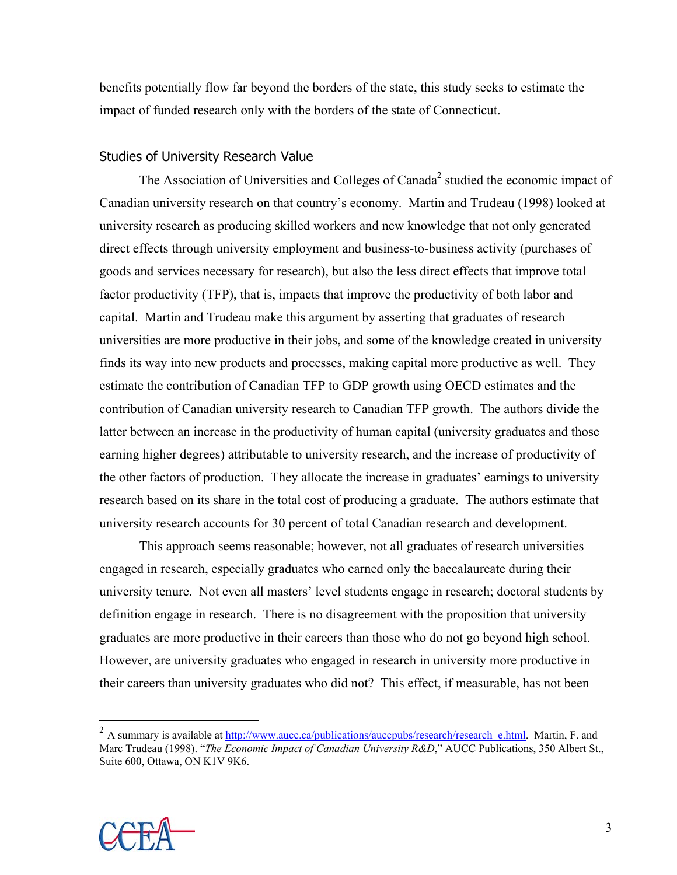benefits potentially flow far beyond the borders of the state, this study seeks to estimate the impact of funded research only with the borders of the state of Connecticut.

# Studies of University Research Value

The Association of Universities and Colleges of Canada<sup>2</sup> studied the economic impact of Canadian university research on that country's economy. Martin and Trudeau (1998) looked at university research as producing skilled workers and new knowledge that not only generated direct effects through university employment and business-to-business activity (purchases of goods and services necessary for research), but also the less direct effects that improve total factor productivity (TFP), that is, impacts that improve the productivity of both labor and capital. Martin and Trudeau make this argument by asserting that graduates of research universities are more productive in their jobs, and some of the knowledge created in university finds its way into new products and processes, making capital more productive as well. They estimate the contribution of Canadian TFP to GDP growth using OECD estimates and the contribution of Canadian university research to Canadian TFP growth. The authors divide the latter between an increase in the productivity of human capital (university graduates and those earning higher degrees) attributable to university research, and the increase of productivity of the other factors of production. They allocate the increase in graduates' earnings to university research based on its share in the total cost of producing a graduate. The authors estimate that university research accounts for 30 percent of total Canadian research and development.

 This approach seems reasonable; however, not all graduates of research universities engaged in research, especially graduates who earned only the baccalaureate during their university tenure. Not even all masters' level students engage in research; doctoral students by definition engage in research. There is no disagreement with the proposition that university graduates are more productive in their careers than those who do not go beyond high school. However, are university graduates who engaged in research in university more productive in their careers than university graduates who did not? This effect, if measurable, has not been



<sup>&</sup>lt;sup>2</sup> A summary is available at http://www.aucc.ca/publications/auccpubs/research/research\_e.html. Martin, F. and Marc Trudeau (1998). "*The Economic Impact of Canadian University R&D*," AUCC Publications, 350 Albert St., Suite 600, Ottawa, ON K1V 9K6.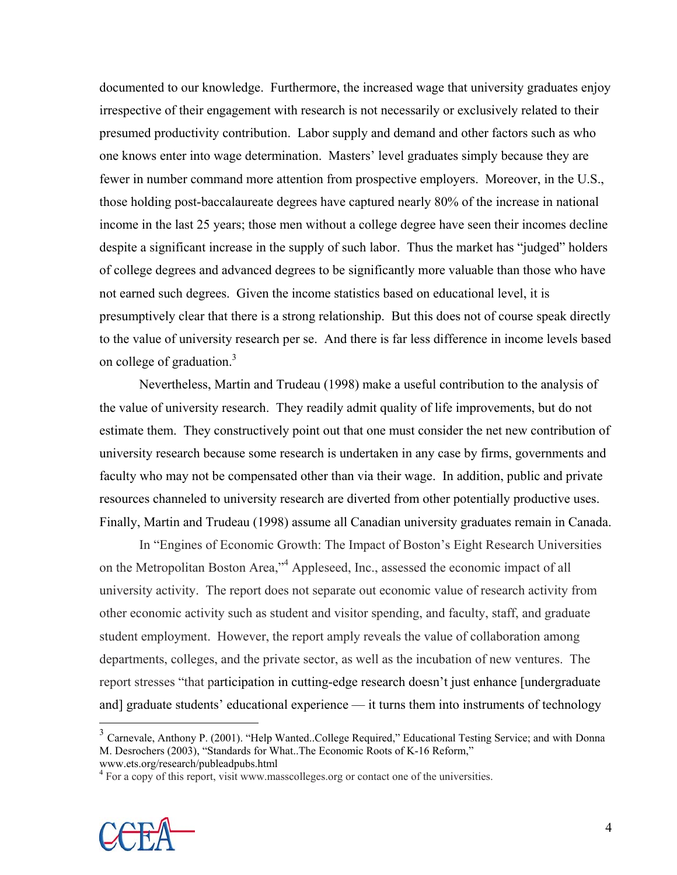documented to our knowledge. Furthermore, the increased wage that university graduates enjoy irrespective of their engagement with research is not necessarily or exclusively related to their presumed productivity contribution. Labor supply and demand and other factors such as who one knows enter into wage determination. Masters' level graduates simply because they are fewer in number command more attention from prospective employers. Moreover, in the U.S., those holding post-baccalaureate degrees have captured nearly 80% of the increase in national income in the last 25 years; those men without a college degree have seen their incomes decline despite a significant increase in the supply of such labor. Thus the market has "judged" holders of college degrees and advanced degrees to be significantly more valuable than those who have not earned such degrees. Given the income statistics based on educational level, it is presumptively clear that there is a strong relationship. But this does not of course speak directly to the value of university research per se. And there is far less difference in income levels based on college of graduation.<sup>3</sup>

 Nevertheless, Martin and Trudeau (1998) make a useful contribution to the analysis of the value of university research. They readily admit quality of life improvements, but do not estimate them. They constructively point out that one must consider the net new contribution of university research because some research is undertaken in any case by firms, governments and faculty who may not be compensated other than via their wage. In addition, public and private resources channeled to university research are diverted from other potentially productive uses. Finally, Martin and Trudeau (1998) assume all Canadian university graduates remain in Canada.

 In "Engines of Economic Growth: The Impact of Boston's Eight Research Universities on the Metropolitan Boston Area,"<sup>4</sup> Appleseed, Inc., assessed the economic impact of all university activity. The report does not separate out economic value of research activity from other economic activity such as student and visitor spending, and faculty, staff, and graduate student employment. However, the report amply reveals the value of collaboration among departments, colleges, and the private sector, as well as the incubation of new ventures. The report stresses "that participation in cutting-edge research doesn't just enhance [undergraduate and] graduate students' educational experience — it turns them into instruments of technology

<sup>&</sup>lt;sup>4</sup> For a copy of this report, visit www.masscolleges.org or contact one of the universities.



<sup>&</sup>lt;sup>3</sup> Carnevale, Anthony P. (2001). "Help Wanted..College Required," Educational Testing Service; and with Donna M. Desrochers (2003), "Standards for What..The Economic Roots of K-16 Reform," www.ets.org/research/publeadpubs.html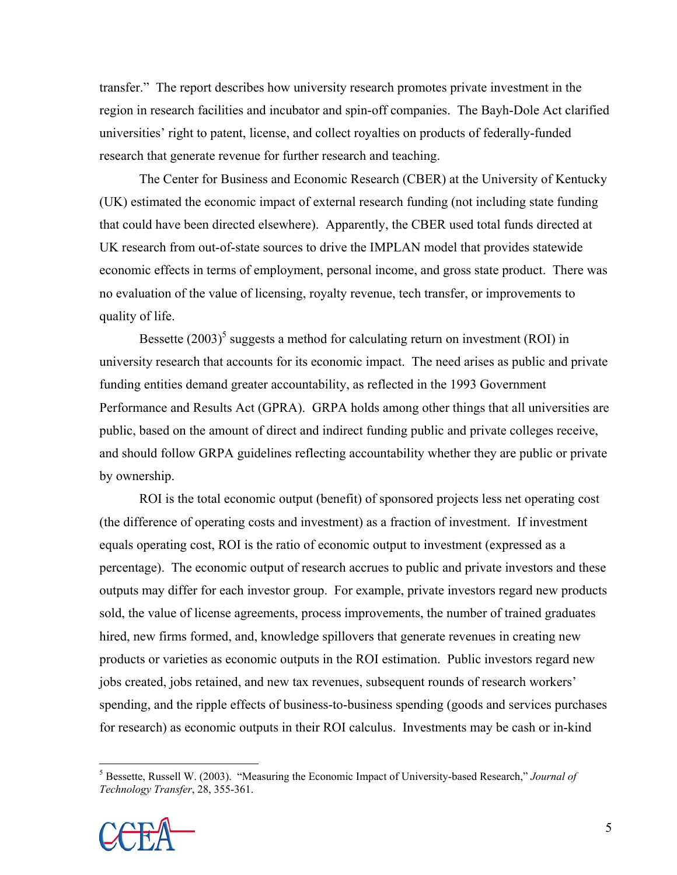transfer." The report describes how university research promotes private investment in the region in research facilities and incubator and spin-off companies. The Bayh-Dole Act clarified universities' right to patent, license, and collect royalties on products of federally-funded research that generate revenue for further research and teaching.

 The Center for Business and Economic Research (CBER) at the University of Kentucky (UK) estimated the economic impact of external research funding (not including state funding that could have been directed elsewhere). Apparently, the CBER used total funds directed at UK research from out-of-state sources to drive the IMPLAN model that provides statewide economic effects in terms of employment, personal income, and gross state product. There was no evaluation of the value of licensing, royalty revenue, tech transfer, or improvements to quality of life.

Bessette  $(2003)^5$  suggests a method for calculating return on investment (ROI) in university research that accounts for its economic impact. The need arises as public and private funding entities demand greater accountability, as reflected in the 1993 Government Performance and Results Act (GPRA). GRPA holds among other things that all universities are public, based on the amount of direct and indirect funding public and private colleges receive, and should follow GRPA guidelines reflecting accountability whether they are public or private by ownership.

 ROI is the total economic output (benefit) of sponsored projects less net operating cost (the difference of operating costs and investment) as a fraction of investment. If investment equals operating cost, ROI is the ratio of economic output to investment (expressed as a percentage). The economic output of research accrues to public and private investors and these outputs may differ for each investor group. For example, private investors regard new products sold, the value of license agreements, process improvements, the number of trained graduates hired, new firms formed, and, knowledge spillovers that generate revenues in creating new products or varieties as economic outputs in the ROI estimation. Public investors regard new jobs created, jobs retained, and new tax revenues, subsequent rounds of research workers' spending, and the ripple effects of business-to-business spending (goods and services purchases for research) as economic outputs in their ROI calculus. Investments may be cash or in-kind

<sup>5</sup> Bessette, Russell W. (2003). "Measuring the Economic Impact of University-based Research," *Journal of Technology Transfer*, 28, 355-361.

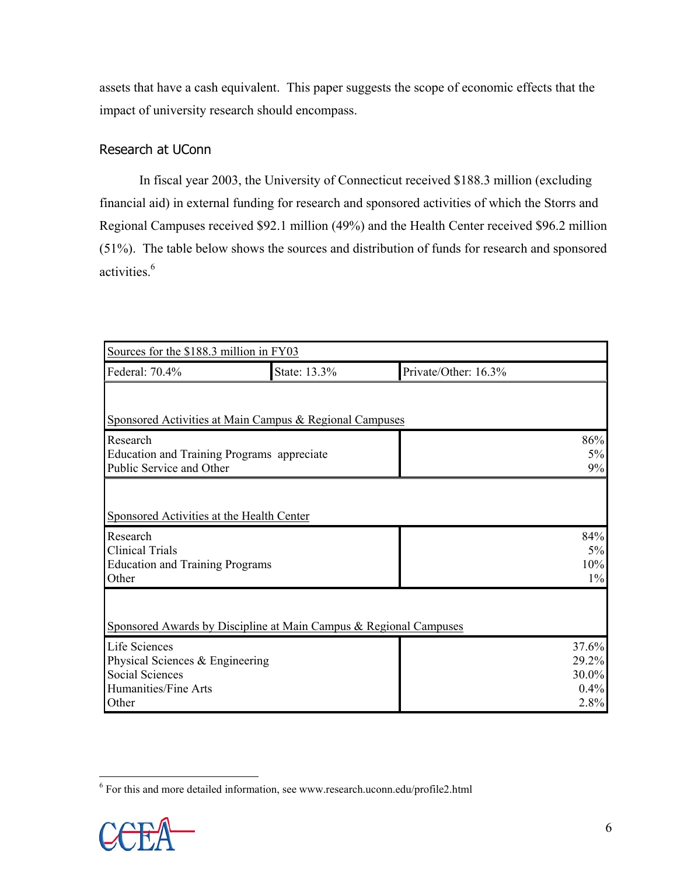assets that have a cash equivalent. This paper suggests the scope of economic effects that the impact of university research should encompass.

# Research at UConn

In fiscal year 2003, the University of Connecticut received \$188.3 million (excluding financial aid) in external funding for research and sponsored activities of which the Storrs and Regional Campuses received \$92.1 million (49%) and the Health Center received \$96.2 million (51%). The table below shows the sources and distribution of funds for research and sponsored activities.<sup>6</sup>

| Sources for the \$188.3 million in FY03                                |                                                                   |                      |              |  |
|------------------------------------------------------------------------|-------------------------------------------------------------------|----------------------|--------------|--|
| Federal: 70.4%                                                         | State: 13.3%                                                      | Private/Other: 16.3% |              |  |
|                                                                        |                                                                   |                      |              |  |
|                                                                        | Sponsored Activities at Main Campus & Regional Campuses           |                      |              |  |
| Research                                                               |                                                                   |                      | 86%          |  |
| Education and Training Programs appreciate<br>Public Service and Other |                                                                   |                      | $5\%$<br>9%  |  |
|                                                                        |                                                                   |                      |              |  |
| Sponsored Activities at the Health Center                              |                                                                   |                      |              |  |
| Research                                                               |                                                                   |                      | 84%          |  |
| <b>Clinical Trials</b><br><b>Education and Training Programs</b>       |                                                                   |                      | $5\%$<br>10% |  |
| Other                                                                  |                                                                   |                      | $1\%$        |  |
|                                                                        |                                                                   |                      |              |  |
|                                                                        | Sponsored Awards by Discipline at Main Campus & Regional Campuses |                      |              |  |
| Life Sciences                                                          |                                                                   |                      | 37.6%        |  |
| Physical Sciences & Engineering                                        |                                                                   |                      | 29.2%        |  |
| <b>Social Sciences</b>                                                 |                                                                   |                      | 30.0%        |  |
| Humanities/Fine Arts                                                   |                                                                   |                      | 0.4%<br>2.8% |  |
| Other                                                                  |                                                                   |                      |              |  |

<sup>&</sup>lt;sup>6</sup> For this and more detailed information, see www.research.uconn.edu/profile2.html

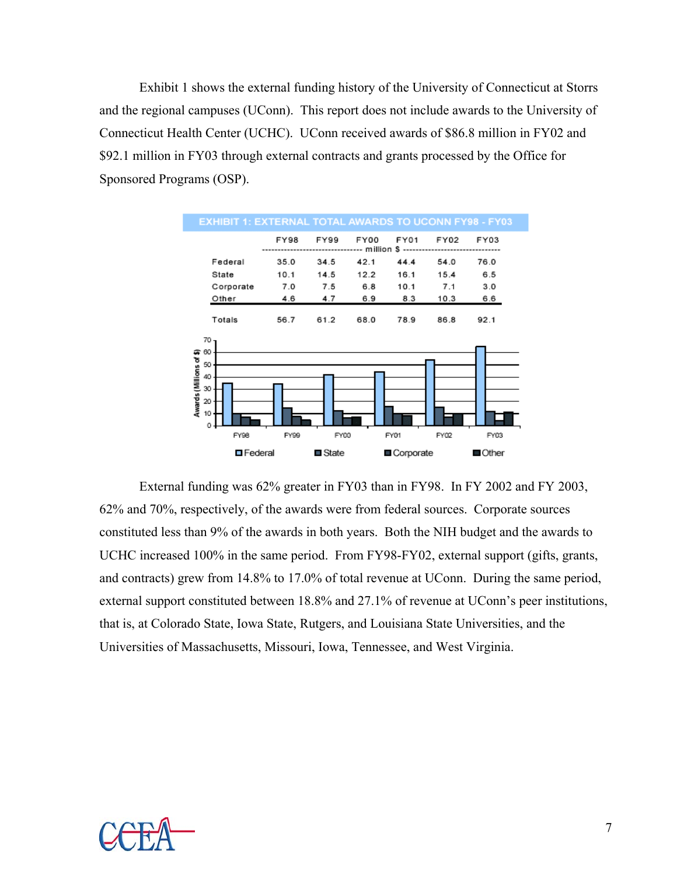Exhibit 1 shows the external funding history of the University of Connecticut at Storrs and the regional campuses (UConn). This report does not include awards to the University of Connecticut Health Center (UCHC). UConn received awards of \$86.8 million in FY02 and \$92.1 million in FY03 through external contracts and grants processed by the Office for Sponsored Programs (OSP).



 External funding was 62% greater in FY03 than in FY98. In FY 2002 and FY 2003, 62% and 70%, respectively, of the awards were from federal sources. Corporate sources constituted less than 9% of the awards in both years. Both the NIH budget and the awards to UCHC increased 100% in the same period. From FY98-FY02, external support (gifts, grants, and contracts) grew from 14.8% to 17.0% of total revenue at UConn. During the same period, external support constituted between 18.8% and 27.1% of revenue at UConn's peer institutions, that is, at Colorado State, Iowa State, Rutgers, and Louisiana State Universities, and the Universities of Massachusetts, Missouri, Iowa, Tennessee, and West Virginia.

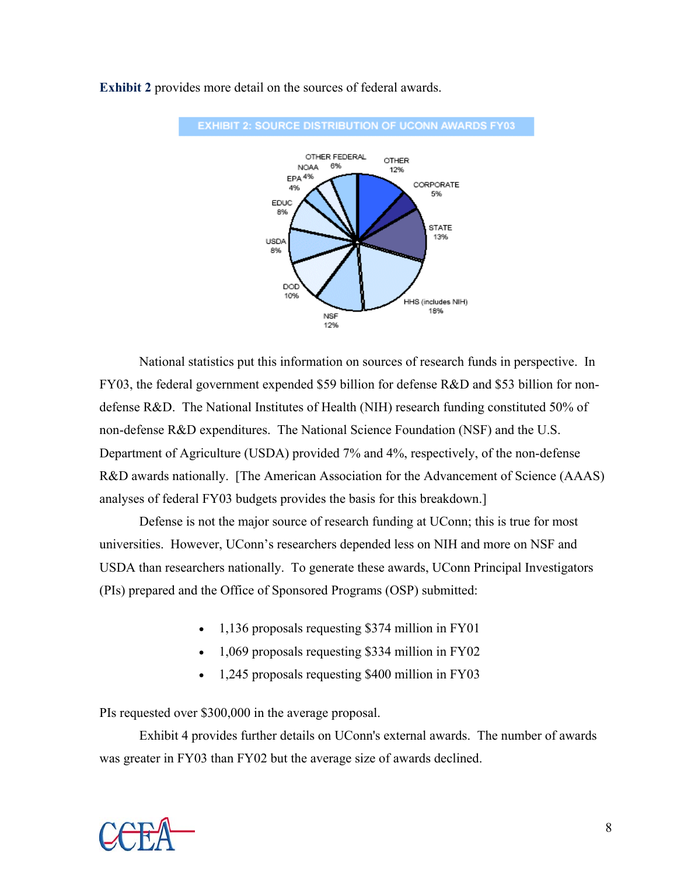

**Exhibit 2** provides more detail on the sources of federal awards.

 National statistics put this information on sources of research funds in perspective. In FY03, the federal government expended \$59 billion for defense R&D and \$53 billion for nondefense R&D. The National Institutes of Health (NIH) research funding constituted 50% of non-defense R&D expenditures. The National Science Foundation (NSF) and the U.S. Department of Agriculture (USDA) provided 7% and 4%, respectively, of the non-defense R&D awards nationally. [The American Association for the Advancement of Science (AAAS) analyses of federal FY03 budgets provides the basis for this breakdown.]

 Defense is not the major source of research funding at UConn; this is true for most universities. However, UConn's researchers depended less on NIH and more on NSF and USDA than researchers nationally. To generate these awards, UConn Principal Investigators (PIs) prepared and the Office of Sponsored Programs (OSP) submitted:

- 1,136 proposals requesting \$374 million in FY01
- 1,069 proposals requesting \$334 million in FY02
- 1,245 proposals requesting \$400 million in FY03

PIs requested over \$300,000 in the average proposal.

 Exhibit 4 provides further details on UConn's external awards. The number of awards was greater in FY03 than FY02 but the average size of awards declined.

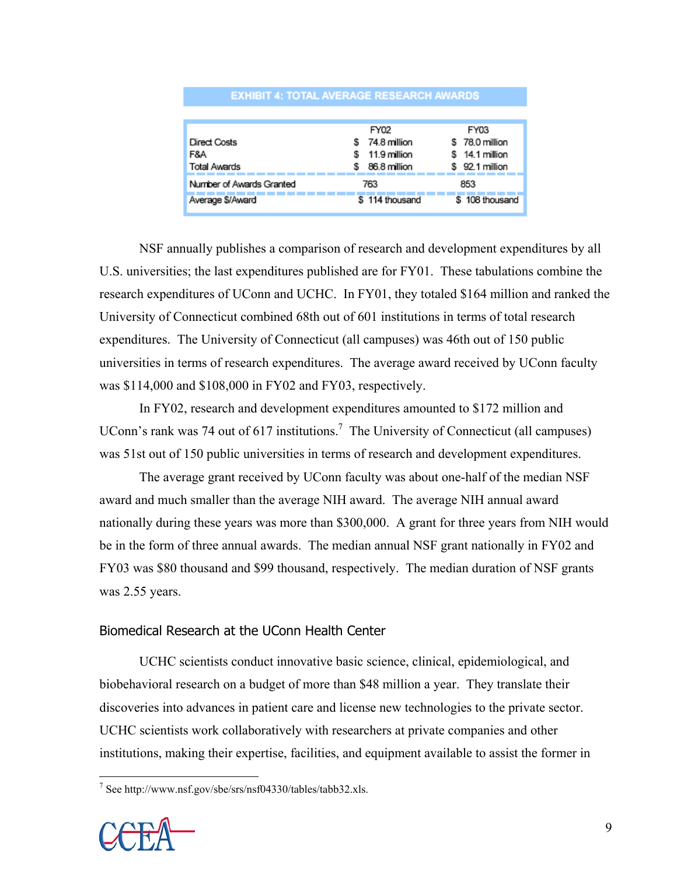| EANDH 4. IVIAE AIENAVE NEVEARVII AIANDU |                |                    |  |  |
|-----------------------------------------|----------------|--------------------|--|--|
|                                         |                |                    |  |  |
|                                         | FY02           | FY03               |  |  |
| Direct Costs                            | 74.8 million   | \$78.0 million     |  |  |
| F&A                                     | 11.9 million   | 14.1 million<br>s. |  |  |
| <b>Total Awards</b>                     | 86.8 million   | 92.1 million<br>s  |  |  |
| Number of Awards Granted                | 763            | 853                |  |  |
| Average \$/Award                        | \$114 thousand | \$108 thousand     |  |  |

**EXHIBIT 4: TOTAL AVERAGE RESEARCH AWARDS** 

 NSF annually publishes a comparison of research and development expenditures by all U.S. universities; the last expenditures published are for FY01. These tabulations combine the research expenditures of UConn and UCHC. In FY01, they totaled \$164 million and ranked the University of Connecticut combined 68th out of 601 institutions in terms of total research expenditures. The University of Connecticut (all campuses) was 46th out of 150 public universities in terms of research expenditures. The average award received by UConn faculty was \$114,000 and \$108,000 in FY02 and FY03, respectively.

 In FY02, research and development expenditures amounted to \$172 million and UConn's rank was 74 out of 617 institutions.<sup>7</sup> The University of Connecticut (all campuses) was 51st out of 150 public universities in terms of research and development expenditures.

 The average grant received by UConn faculty was about one-half of the median NSF award and much smaller than the average NIH award. The average NIH annual award nationally during these years was more than \$300,000. A grant for three years from NIH would be in the form of three annual awards. The median annual NSF grant nationally in FY02 and FY03 was \$80 thousand and \$99 thousand, respectively. The median duration of NSF grants was 2.55 years.

# Biomedical Research at the UConn Health Center

UCHC scientists conduct innovative basic science, clinical, epidemiological, and biobehavioral research on a budget of more than \$48 million a year. They translate their discoveries into advances in patient care and license new technologies to the private sector. UCHC scientists work collaboratively with researchers at private companies and other institutions, making their expertise, facilities, and equipment available to assist the former in

 7 See http://www.nsf.gov/sbe/srs/nsf04330/tables/tabb32.xls.

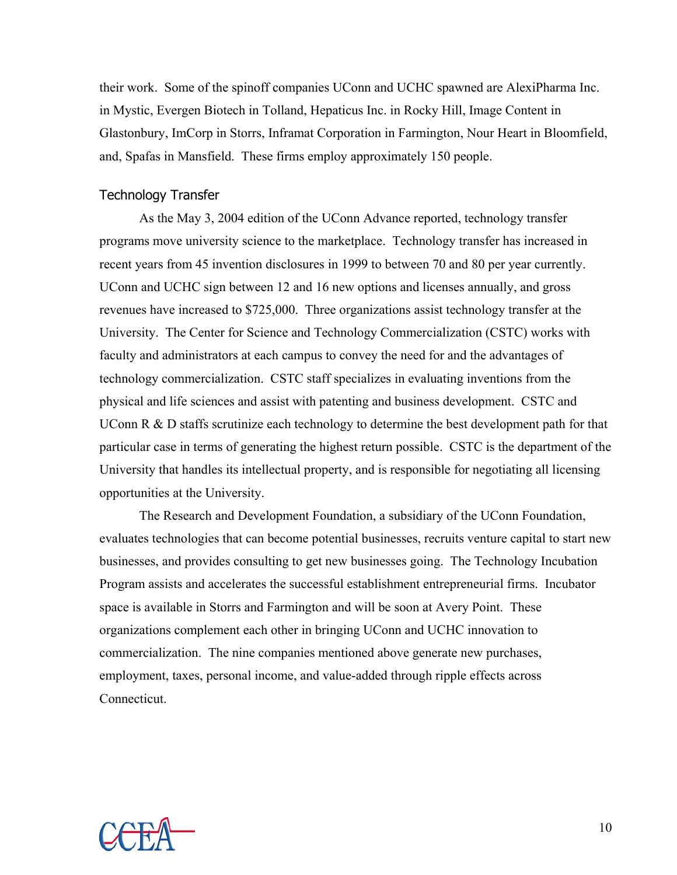their work. Some of the spinoff companies UConn and UCHC spawned are AlexiPharma Inc. in Mystic, Evergen Biotech in Tolland, Hepaticus Inc. in Rocky Hill, Image Content in Glastonbury, ImCorp in Storrs, Inframat Corporation in Farmington, Nour Heart in Bloomfield, and, Spafas in Mansfield. These firms employ approximately 150 people.

## Technology Transfer

As the May 3, 2004 edition of the UConn Advance reported, technology transfer programs move university science to the marketplace. Technology transfer has increased in recent years from 45 invention disclosures in 1999 to between 70 and 80 per year currently. UConn and UCHC sign between 12 and 16 new options and licenses annually, and gross revenues have increased to \$725,000. Three organizations assist technology transfer at the University. The Center for Science and Technology Commercialization (CSTC) works with faculty and administrators at each campus to convey the need for and the advantages of technology commercialization. CSTC staff specializes in evaluating inventions from the physical and life sciences and assist with patenting and business development. CSTC and UConn R & D staffs scrutinize each technology to determine the best development path for that particular case in terms of generating the highest return possible. CSTC is the department of the University that handles its intellectual property, and is responsible for negotiating all licensing opportunities at the University.

 The Research and Development Foundation, a subsidiary of the UConn Foundation, evaluates technologies that can become potential businesses, recruits venture capital to start new businesses, and provides consulting to get new businesses going. The Technology Incubation Program assists and accelerates the successful establishment entrepreneurial firms. Incubator space is available in Storrs and Farmington and will be soon at Avery Point. These organizations complement each other in bringing UConn and UCHC innovation to commercialization. The nine companies mentioned above generate new purchases, employment, taxes, personal income, and value-added through ripple effects across Connecticut.

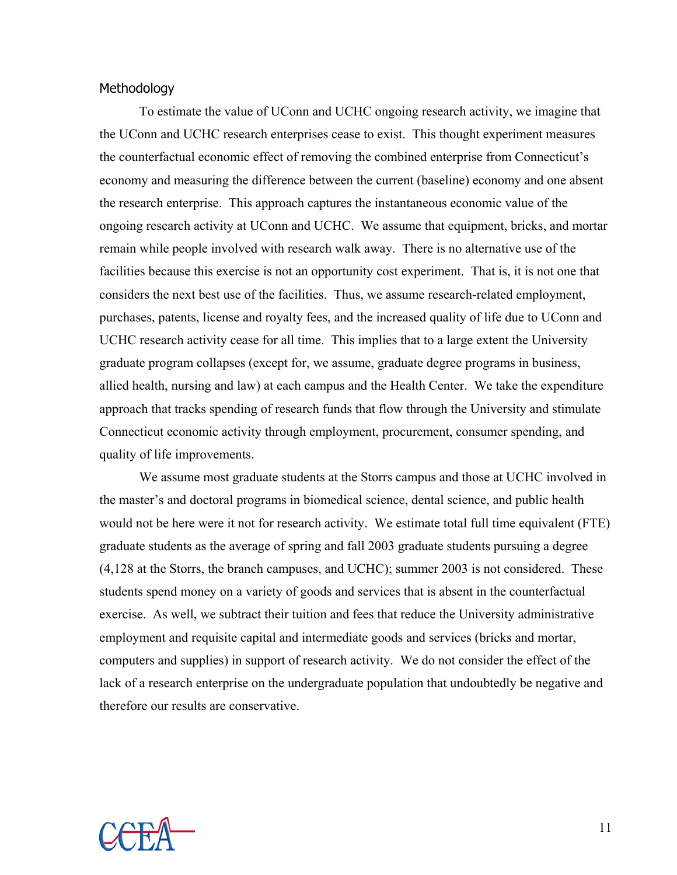# **Methodology**

To estimate the value of UConn and UCHC ongoing research activity, we imagine that the UConn and UCHC research enterprises cease to exist. This thought experiment measures the counterfactual economic effect of removing the combined enterprise from Connecticut's economy and measuring the difference between the current (baseline) economy and one absent the research enterprise. This approach captures the instantaneous economic value of the ongoing research activity at UConn and UCHC. We assume that equipment, bricks, and mortar remain while people involved with research walk away. There is no alternative use of the facilities because this exercise is not an opportunity cost experiment. That is, it is not one that considers the next best use of the facilities. Thus, we assume research-related employment, purchases, patents, license and royalty fees, and the increased quality of life due to UConn and UCHC research activity cease for all time. This implies that to a large extent the University graduate program collapses (except for, we assume, graduate degree programs in business, allied health, nursing and law) at each campus and the Health Center. We take the expenditure approach that tracks spending of research funds that flow through the University and stimulate Connecticut economic activity through employment, procurement, consumer spending, and quality of life improvements.

 We assume most graduate students at the Storrs campus and those at UCHC involved in the master's and doctoral programs in biomedical science, dental science, and public health would not be here were it not for research activity. We estimate total full time equivalent (FTE) graduate students as the average of spring and fall 2003 graduate students pursuing a degree (4,128 at the Storrs, the branch campuses, and UCHC); summer 2003 is not considered. These students spend money on a variety of goods and services that is absent in the counterfactual exercise. As well, we subtract their tuition and fees that reduce the University administrative employment and requisite capital and intermediate goods and services (bricks and mortar, computers and supplies) in support of research activity. We do not consider the effect of the lack of a research enterprise on the undergraduate population that undoubtedly be negative and therefore our results are conservative.

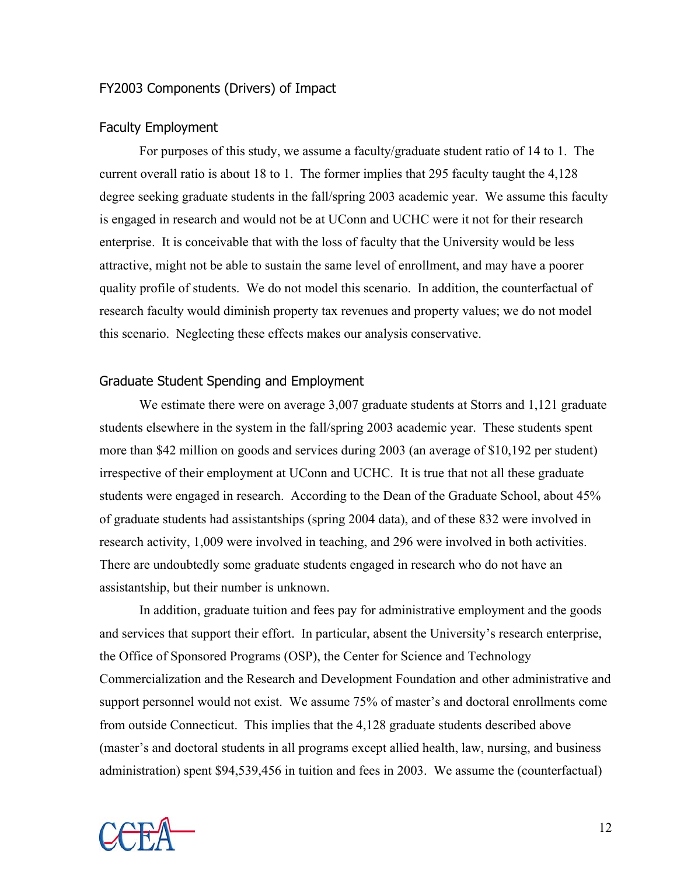# FY2003 Components (Drivers) of Impact

#### Faculty Employment

For purposes of this study, we assume a faculty/graduate student ratio of 14 to 1. The current overall ratio is about 18 to 1. The former implies that 295 faculty taught the 4,128 degree seeking graduate students in the fall/spring 2003 academic year. We assume this faculty is engaged in research and would not be at UConn and UCHC were it not for their research enterprise. It is conceivable that with the loss of faculty that the University would be less attractive, might not be able to sustain the same level of enrollment, and may have a poorer quality profile of students. We do not model this scenario. In addition, the counterfactual of research faculty would diminish property tax revenues and property values; we do not model this scenario. Neglecting these effects makes our analysis conservative.

#### Graduate Student Spending and Employment

We estimate there were on average 3,007 graduate students at Storrs and 1,121 graduate students elsewhere in the system in the fall/spring 2003 academic year. These students spent more than \$42 million on goods and services during 2003 (an average of \$10,192 per student) irrespective of their employment at UConn and UCHC. It is true that not all these graduate students were engaged in research. According to the Dean of the Graduate School, about 45% of graduate students had assistantships (spring 2004 data), and of these 832 were involved in research activity, 1,009 were involved in teaching, and 296 were involved in both activities. There are undoubtedly some graduate students engaged in research who do not have an assistantship, but their number is unknown.

 In addition, graduate tuition and fees pay for administrative employment and the goods and services that support their effort. In particular, absent the University's research enterprise, the Office of Sponsored Programs (OSP), the Center for Science and Technology Commercialization and the Research and Development Foundation and other administrative and support personnel would not exist. We assume 75% of master's and doctoral enrollments come from outside Connecticut. This implies that the 4,128 graduate students described above (master's and doctoral students in all programs except allied health, law, nursing, and business administration) spent \$94,539,456 in tuition and fees in 2003. We assume the (counterfactual)

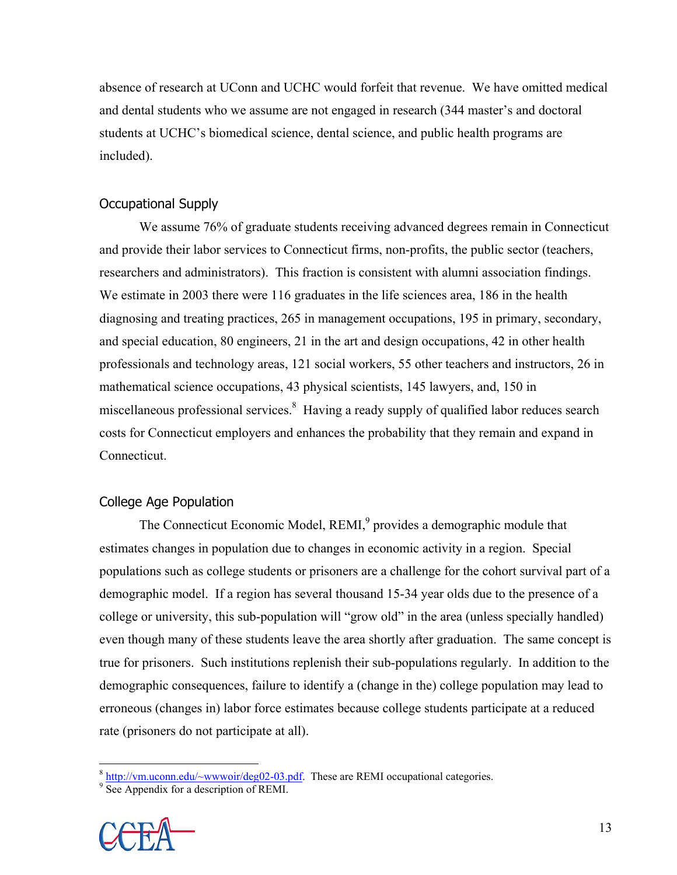absence of research at UConn and UCHC would forfeit that revenue. We have omitted medical and dental students who we assume are not engaged in research (344 master's and doctoral students at UCHC's biomedical science, dental science, and public health programs are included).

# Occupational Supply

 We assume 76% of graduate students receiving advanced degrees remain in Connecticut and provide their labor services to Connecticut firms, non-profits, the public sector (teachers, researchers and administrators). This fraction is consistent with alumni association findings. We estimate in 2003 there were 116 graduates in the life sciences area, 186 in the health diagnosing and treating practices, 265 in management occupations, 195 in primary, secondary, and special education, 80 engineers, 21 in the art and design occupations, 42 in other health professionals and technology areas, 121 social workers, 55 other teachers and instructors, 26 in mathematical science occupations, 43 physical scientists, 145 lawyers, and, 150 in miscellaneous professional services.<sup>8</sup> Having a ready supply of qualified labor reduces search costs for Connecticut employers and enhances the probability that they remain and expand in Connecticut.

### College Age Population

The Connecticut Economic Model, REMI,<sup>9</sup> provides a demographic module that estimates changes in population due to changes in economic activity in a region. Special populations such as college students or prisoners are a challenge for the cohort survival part of a demographic model. If a region has several thousand 15-34 year olds due to the presence of a college or university, this sub-population will "grow old" in the area (unless specially handled) even though many of these students leave the area shortly after graduation. The same concept is true for prisoners. Such institutions replenish their sub-populations regularly. In addition to the demographic consequences, failure to identify a (change in the) college population may lead to erroneous (changes in) labor force estimates because college students participate at a reduced rate (prisoners do not participate at all).

 $\frac{9}{2}$  See Appendix for a description of REMI.



 $\frac{8 \text{ http://vm.uconn.edu/~www.our/deg02-03.pdf}}{2 \text{ So A manifold}}$ . These are REMI occupational categories.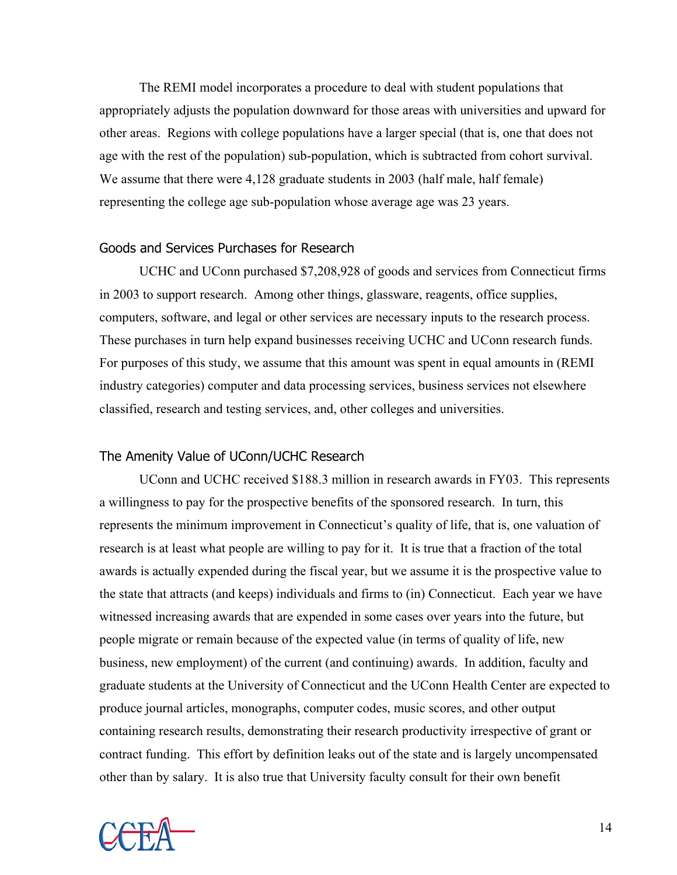The REMI model incorporates a procedure to deal with student populations that appropriately adjusts the population downward for those areas with universities and upward for other areas. Regions with college populations have a larger special (that is, one that does not age with the rest of the population) sub-population, which is subtracted from cohort survival. We assume that there were 4,128 graduate students in 2003 (half male, half female) representing the college age sub-population whose average age was 23 years.

#### Goods and Services Purchases for Research

UCHC and UConn purchased \$7,208,928 of goods and services from Connecticut firms in 2003 to support research. Among other things, glassware, reagents, office supplies, computers, software, and legal or other services are necessary inputs to the research process. These purchases in turn help expand businesses receiving UCHC and UConn research funds. For purposes of this study, we assume that this amount was spent in equal amounts in (REMI industry categories) computer and data processing services, business services not elsewhere classified, research and testing services, and, other colleges and universities.

#### The Amenity Value of UConn/UCHC Research

 UConn and UCHC received \$188.3 million in research awards in FY03. This represents a willingness to pay for the prospective benefits of the sponsored research. In turn, this represents the minimum improvement in Connecticut's quality of life, that is, one valuation of research is at least what people are willing to pay for it. It is true that a fraction of the total awards is actually expended during the fiscal year, but we assume it is the prospective value to the state that attracts (and keeps) individuals and firms to (in) Connecticut. Each year we have witnessed increasing awards that are expended in some cases over years into the future, but people migrate or remain because of the expected value (in terms of quality of life, new business, new employment) of the current (and continuing) awards. In addition, faculty and graduate students at the University of Connecticut and the UConn Health Center are expected to produce journal articles, monographs, computer codes, music scores, and other output containing research results, demonstrating their research productivity irrespective of grant or contract funding. This effort by definition leaks out of the state and is largely uncompensated other than by salary. It is also true that University faculty consult for their own benefit

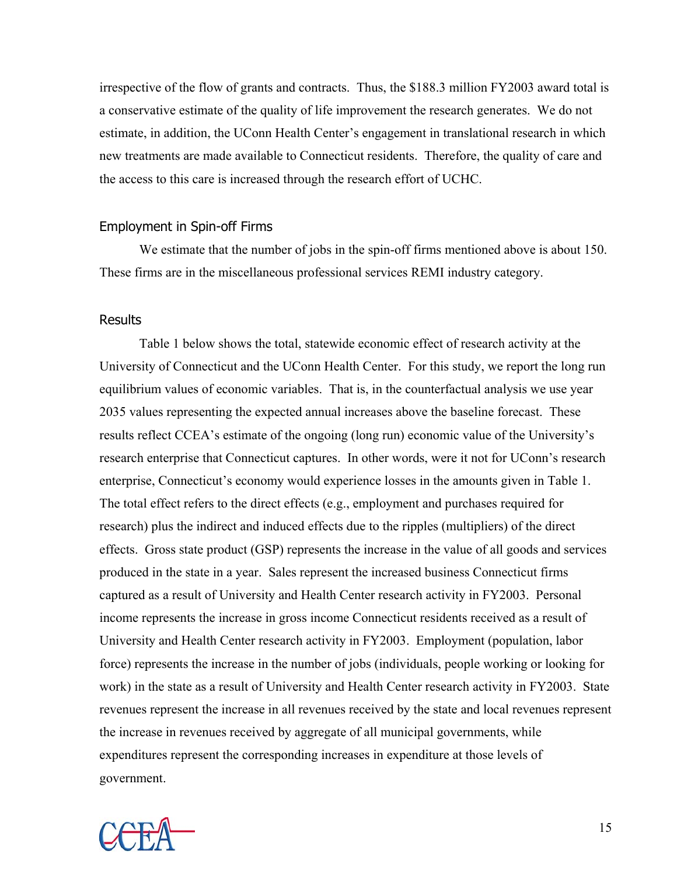irrespective of the flow of grants and contracts. Thus, the \$188.3 million FY2003 award total is a conservative estimate of the quality of life improvement the research generates. We do not estimate, in addition, the UConn Health Center's engagement in translational research in which new treatments are made available to Connecticut residents. Therefore, the quality of care and the access to this care is increased through the research effort of UCHC.

#### Employment in Spin-off Firms

We estimate that the number of jobs in the spin-off firms mentioned above is about 150. These firms are in the miscellaneous professional services REMI industry category.

#### **Results**

Table 1 below shows the total, statewide economic effect of research activity at the University of Connecticut and the UConn Health Center. For this study, we report the long run equilibrium values of economic variables. That is, in the counterfactual analysis we use year 2035 values representing the expected annual increases above the baseline forecast. These results reflect CCEA's estimate of the ongoing (long run) economic value of the University's research enterprise that Connecticut captures. In other words, were it not for UConn's research enterprise, Connecticut's economy would experience losses in the amounts given in Table 1. The total effect refers to the direct effects (e.g., employment and purchases required for research) plus the indirect and induced effects due to the ripples (multipliers) of the direct effects. Gross state product (GSP) represents the increase in the value of all goods and services produced in the state in a year. Sales represent the increased business Connecticut firms captured as a result of University and Health Center research activity in FY2003. Personal income represents the increase in gross income Connecticut residents received as a result of University and Health Center research activity in FY2003. Employment (population, labor force) represents the increase in the number of jobs (individuals, people working or looking for work) in the state as a result of University and Health Center research activity in FY2003. State revenues represent the increase in all revenues received by the state and local revenues represent the increase in revenues received by aggregate of all municipal governments, while expenditures represent the corresponding increases in expenditure at those levels of government.

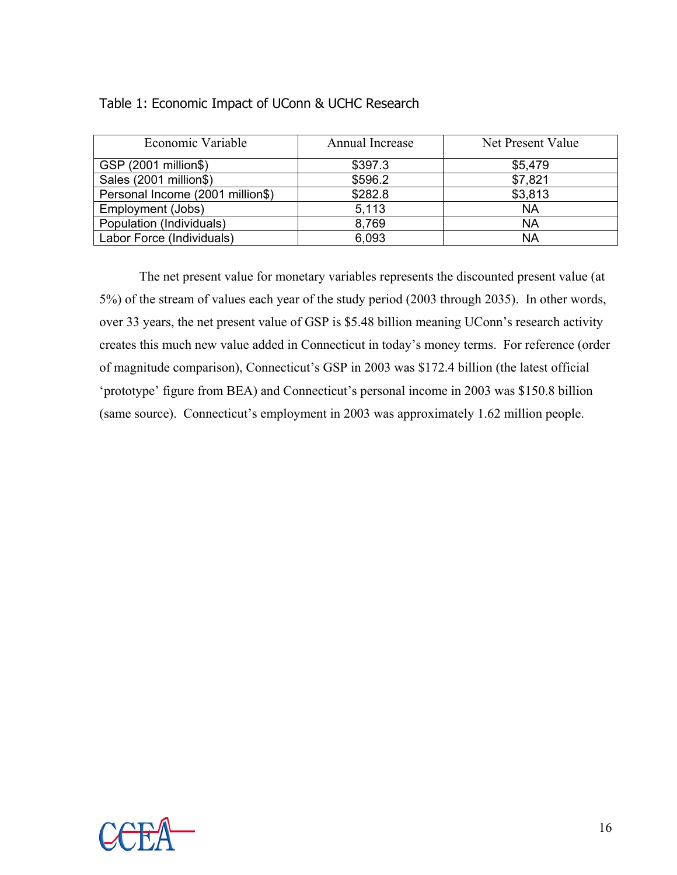# Table 1: Economic Impact of UConn & UCHC Research

| Economic Variable                | Annual Increase | Net Present Value |
|----------------------------------|-----------------|-------------------|
| GSP (2001 million\$)             | \$397.3         | \$5,479           |
| Sales (2001 million\$)           | \$596.2         | \$7,821           |
| Personal Income (2001 million\$) | \$282.8         | \$3,813           |
| Employment (Jobs)                | 5,113           | <b>NA</b>         |
| Population (Individuals)         | 8,769           | NA                |
| Labor Force (Individuals)        | 6,093           | <b>NA</b>         |

 The net present value for monetary variables represents the discounted present value (at 5%) of the stream of values each year of the study period (2003 through 2035). In other words, over 33 years, the net present value of GSP is \$5.48 billion meaning UConn's research activity creates this much new value added in Connecticut in today's money terms. For reference (order of magnitude comparison), Connecticut's GSP in 2003 was \$172.4 billion (the latest official 'prototype' figure from BEA) and Connecticut's personal income in 2003 was \$150.8 billion (same source). Connecticut's employment in 2003 was approximately 1.62 million people.

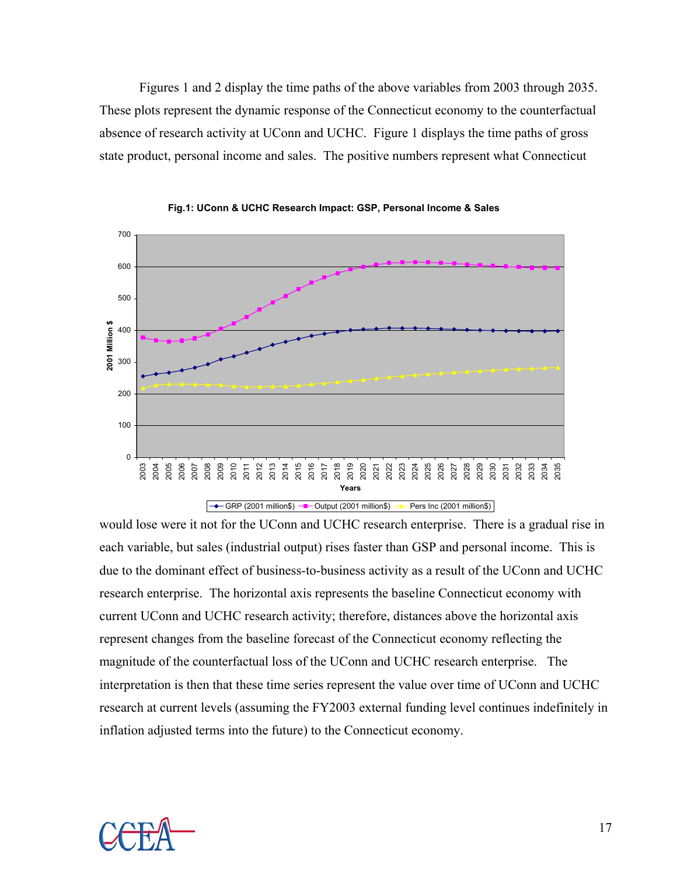Figures 1 and 2 display the time paths of the above variables from 2003 through 2035. These plots represent the dynamic response of the Connecticut economy to the counterfactual absence of research activity at UConn and UCHC. Figure 1 displays the time paths of gross state product, personal income and sales. The positive numbers represent what Connecticut





would lose were it not for the UConn and UCHC research enterprise. There is a gradual rise in each variable, but sales (industrial output) rises faster than GSP and personal income. This is due to the dominant effect of business-to-business activity as a result of the UConn and UCHC research enterprise. The horizontal axis represents the baseline Connecticut economy with current UConn and UCHC research activity; therefore, distances above the horizontal axis represent changes from the baseline forecast of the Connecticut economy reflecting the magnitude of the counterfactual loss of the UConn and UCHC research enterprise. The interpretation is then that these time series represent the value over time of UConn and UCHC research at current levels (assuming the FY2003 external funding level continues indefinitely in inflation adjusted terms into the future) to the Connecticut economy.

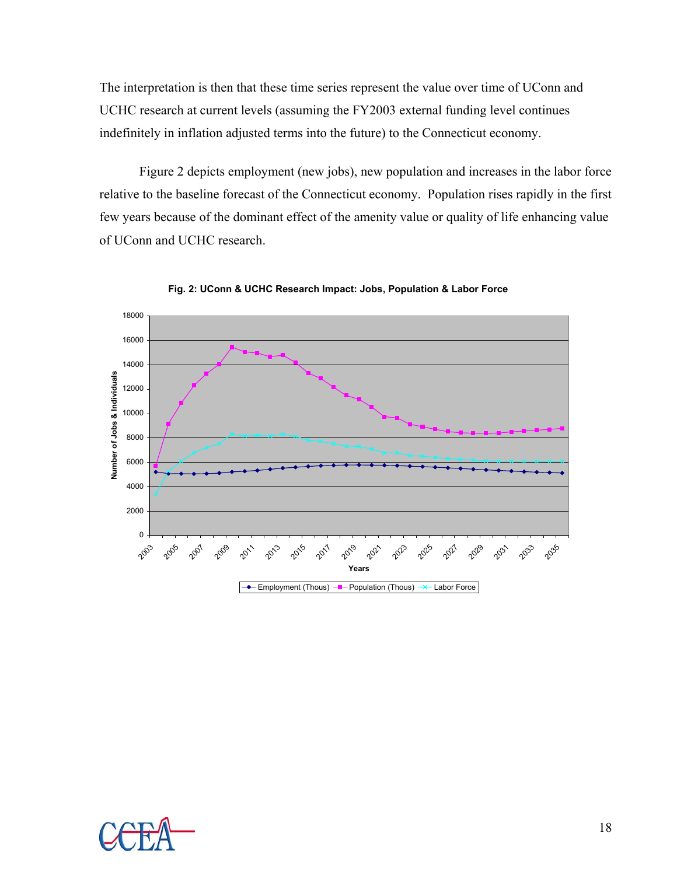The interpretation is then that these time series represent the value over time of UConn and UCHC research at current levels (assuming the FY2003 external funding level continues indefinitely in inflation adjusted terms into the future) to the Connecticut economy.

 Figure 2 depicts employment (new jobs), new population and increases in the labor force relative to the baseline forecast of the Connecticut economy. Population rises rapidly in the first few years because of the dominant effect of the amenity value or quality of life enhancing value of UConn and UCHC research.



**Fig. 2: UConn & UCHC Research Impact: Jobs, Population & Labor Force** 

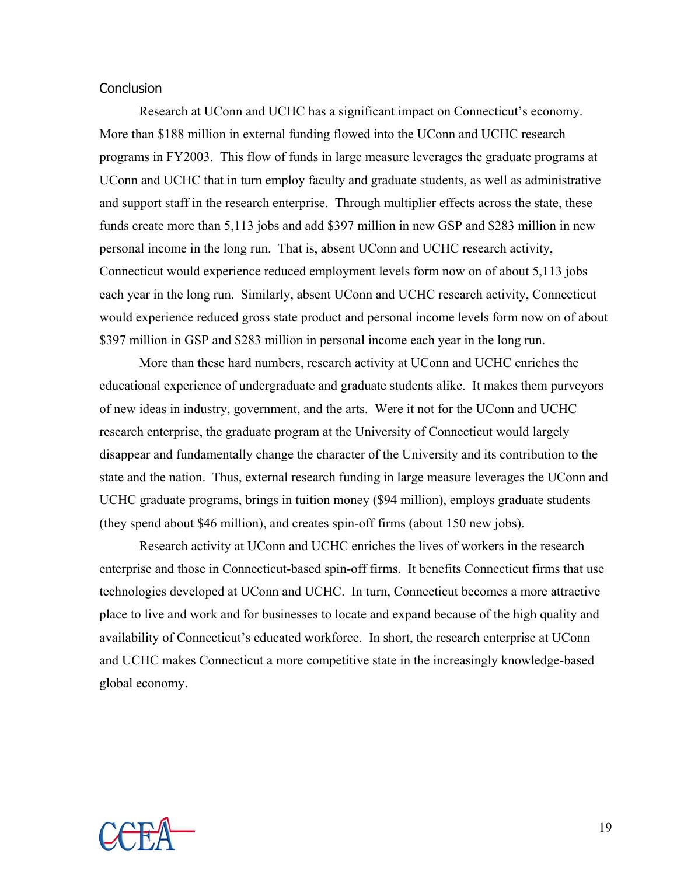### **Conclusion**

Research at UConn and UCHC has a significant impact on Connecticut's economy. More than \$188 million in external funding flowed into the UConn and UCHC research programs in FY2003. This flow of funds in large measure leverages the graduate programs at UConn and UCHC that in turn employ faculty and graduate students, as well as administrative and support staff in the research enterprise. Through multiplier effects across the state, these funds create more than 5,113 jobs and add \$397 million in new GSP and \$283 million in new personal income in the long run. That is, absent UConn and UCHC research activity, Connecticut would experience reduced employment levels form now on of about 5,113 jobs each year in the long run. Similarly, absent UConn and UCHC research activity, Connecticut would experience reduced gross state product and personal income levels form now on of about \$397 million in GSP and \$283 million in personal income each year in the long run.

 More than these hard numbers, research activity at UConn and UCHC enriches the educational experience of undergraduate and graduate students alike. It makes them purveyors of new ideas in industry, government, and the arts. Were it not for the UConn and UCHC research enterprise, the graduate program at the University of Connecticut would largely disappear and fundamentally change the character of the University and its contribution to the state and the nation. Thus, external research funding in large measure leverages the UConn and UCHC graduate programs, brings in tuition money (\$94 million), employs graduate students (they spend about \$46 million), and creates spin-off firms (about 150 new jobs).

 Research activity at UConn and UCHC enriches the lives of workers in the research enterprise and those in Connecticut-based spin-off firms. It benefits Connecticut firms that use technologies developed at UConn and UCHC. In turn, Connecticut becomes a more attractive place to live and work and for businesses to locate and expand because of the high quality and availability of Connecticut's educated workforce. In short, the research enterprise at UConn and UCHC makes Connecticut a more competitive state in the increasingly knowledge-based global economy.

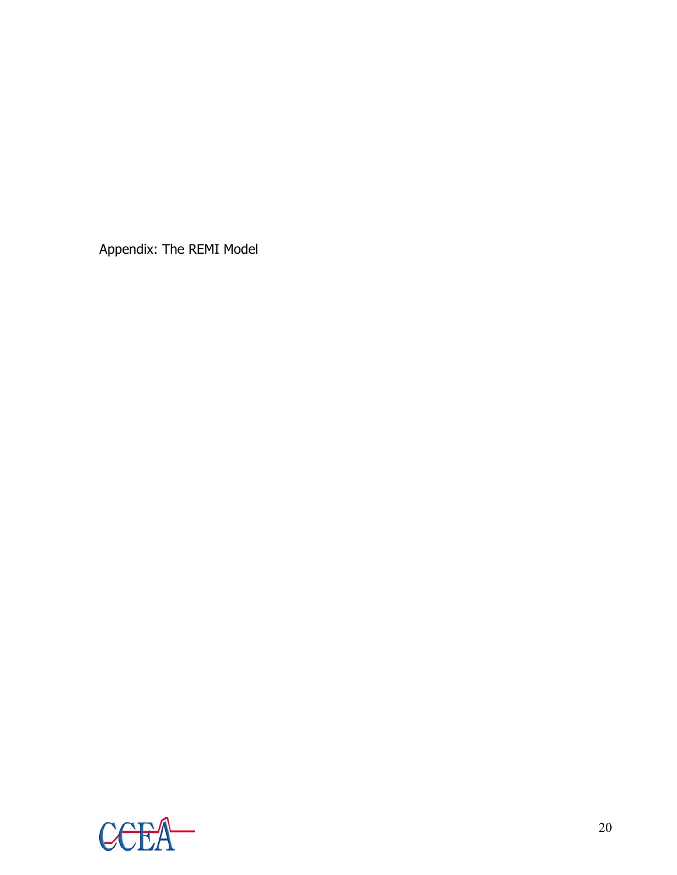Appendix: The REMI Model

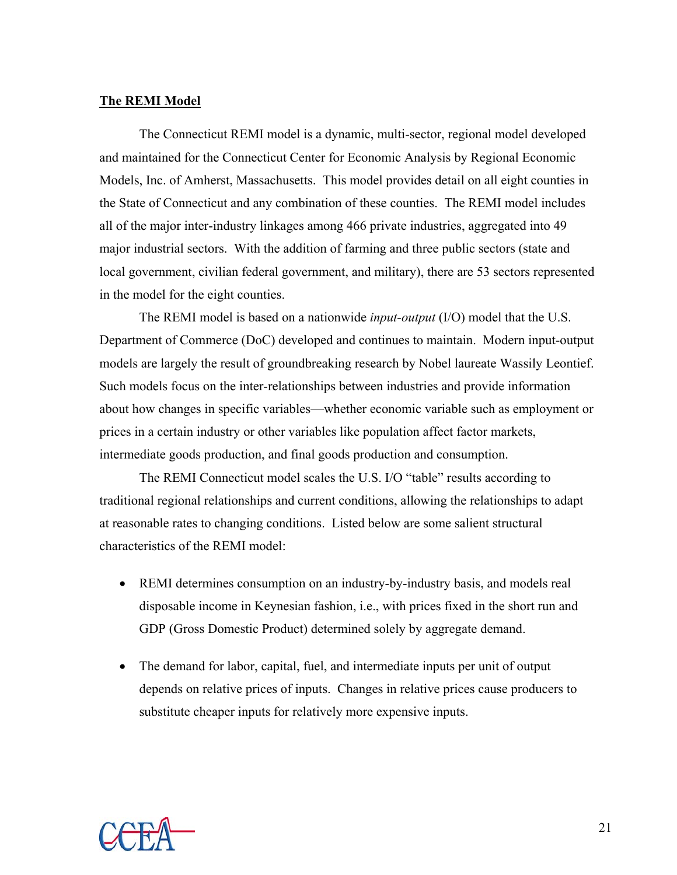### **The REMI Model**

The Connecticut REMI model is a dynamic, multi-sector, regional model developed and maintained for the Connecticut Center for Economic Analysis by Regional Economic Models, Inc. of Amherst, Massachusetts. This model provides detail on all eight counties in the State of Connecticut and any combination of these counties. The REMI model includes all of the major inter-industry linkages among 466 private industries, aggregated into 49 major industrial sectors. With the addition of farming and three public sectors (state and local government, civilian federal government, and military), there are 53 sectors represented in the model for the eight counties.

The REMI model is based on a nationwide *input-output* (I/O) model that the U.S. Department of Commerce (DoC) developed and continues to maintain. Modern input-output models are largely the result of groundbreaking research by Nobel laureate Wassily Leontief. Such models focus on the inter-relationships between industries and provide information about how changes in specific variables—whether economic variable such as employment or prices in a certain industry or other variables like population affect factor markets, intermediate goods production, and final goods production and consumption.

The REMI Connecticut model scales the U.S. I/O "table" results according to traditional regional relationships and current conditions, allowing the relationships to adapt at reasonable rates to changing conditions. Listed below are some salient structural characteristics of the REMI model:

- REMI determines consumption on an industry-by-industry basis, and models real disposable income in Keynesian fashion, i.e., with prices fixed in the short run and GDP (Gross Domestic Product) determined solely by aggregate demand.
- The demand for labor, capital, fuel, and intermediate inputs per unit of output depends on relative prices of inputs. Changes in relative prices cause producers to substitute cheaper inputs for relatively more expensive inputs.

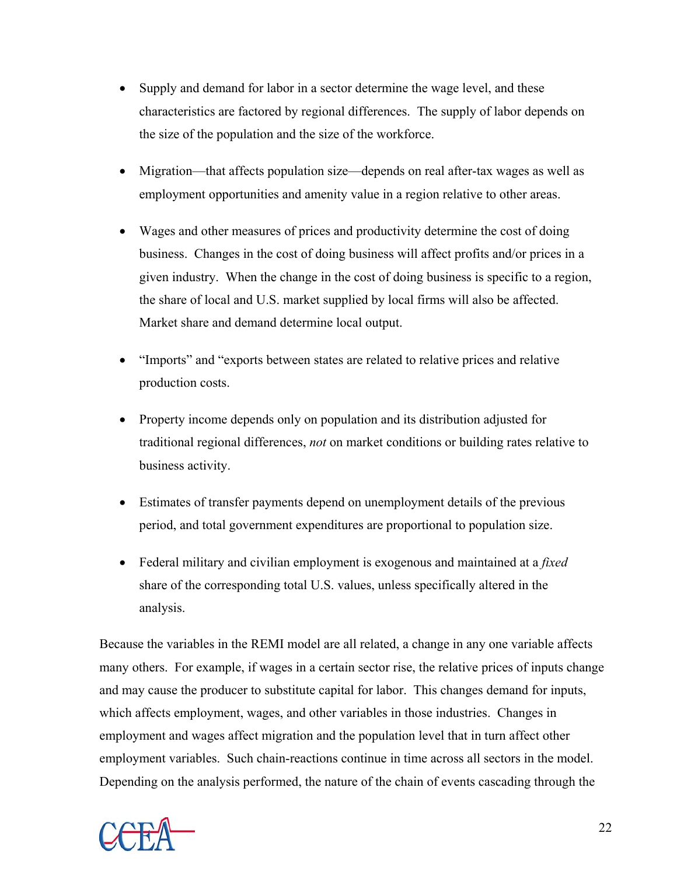- Supply and demand for labor in a sector determine the wage level, and these characteristics are factored by regional differences. The supply of labor depends on the size of the population and the size of the workforce.
- Migration—that affects population size—depends on real after-tax wages as well as employment opportunities and amenity value in a region relative to other areas.
- Wages and other measures of prices and productivity determine the cost of doing business. Changes in the cost of doing business will affect profits and/or prices in a given industry. When the change in the cost of doing business is specific to a region, the share of local and U.S. market supplied by local firms will also be affected. Market share and demand determine local output.
- "Imports" and "exports between states are related to relative prices and relative production costs.
- Property income depends only on population and its distribution adjusted for traditional regional differences, *not* on market conditions or building rates relative to business activity.
- Estimates of transfer payments depend on unemployment details of the previous period, and total government expenditures are proportional to population size.
- Federal military and civilian employment is exogenous and maintained at a *fixed* share of the corresponding total U.S. values, unless specifically altered in the analysis.

Because the variables in the REMI model are all related, a change in any one variable affects many others. For example, if wages in a certain sector rise, the relative prices of inputs change and may cause the producer to substitute capital for labor. This changes demand for inputs, which affects employment, wages, and other variables in those industries. Changes in employment and wages affect migration and the population level that in turn affect other employment variables. Such chain-reactions continue in time across all sectors in the model. Depending on the analysis performed, the nature of the chain of events cascading through the